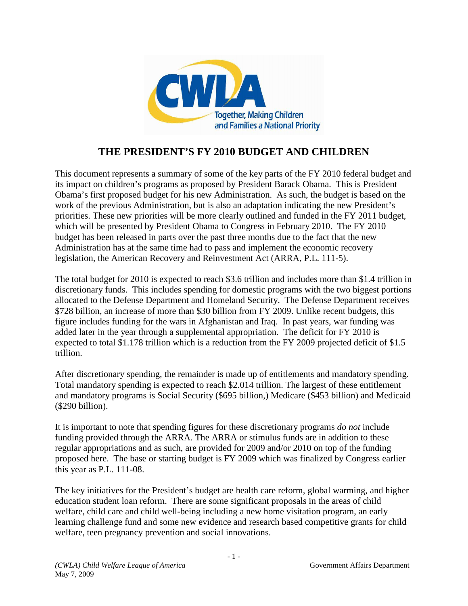

# **THE PRESIDENT'S FY 2010 BUDGET AND CHILDREN**

This document represents a summary of some of the key parts of the FY 2010 federal budget and its impact on children's programs as proposed by President Barack Obama. This is President Obama's first proposed budget for his new Administration. As such, the budget is based on the work of the previous Administration, but is also an adaptation indicating the new President's priorities. These new priorities will be more clearly outlined and funded in the FY 2011 budget, which will be presented by President Obama to Congress in February 2010. The FY 2010 budget has been released in parts over the past three months due to the fact that the new Administration has at the same time had to pass and implement the economic recovery legislation, the American Recovery and Reinvestment Act (ARRA, P.L. 111-5).

The total budget for 2010 is expected to reach \$3.6 trillion and includes more than \$1.4 trillion in discretionary funds. This includes spending for domestic programs with the two biggest portions allocated to the Defense Department and Homeland Security. The Defense Department receives \$728 billion, an increase of more than \$30 billion from FY 2009. Unlike recent budgets, this figure includes funding for the wars in Afghanistan and Iraq. In past years, war funding was added later in the year through a supplemental appropriation. The deficit for FY 2010 is expected to total \$1.178 trillion which is a reduction from the FY 2009 projected deficit of \$1.5 trillion.

After discretionary spending, the remainder is made up of entitlements and mandatory spending. Total mandatory spending is expected to reach \$2.014 trillion. The largest of these entitlement and mandatory programs is Social Security (\$695 billion,) Medicare (\$453 billion) and Medicaid (\$290 billion).

It is important to note that spending figures for these discretionary programs *do not* include funding provided through the ARRA. The ARRA or stimulus funds are in addition to these regular appropriations and as such, are provided for 2009 and/or 2010 on top of the funding proposed here. The base or starting budget is FY 2009 which was finalized by Congress earlier this year as P.L. 111-08.

The key initiatives for the President's budget are health care reform, global warming, and higher education student loan reform. There are some significant proposals in the areas of child welfare, child care and child well-being including a new home visitation program, an early learning challenge fund and some new evidence and research based competitive grants for child welfare, teen pregnancy prevention and social innovations.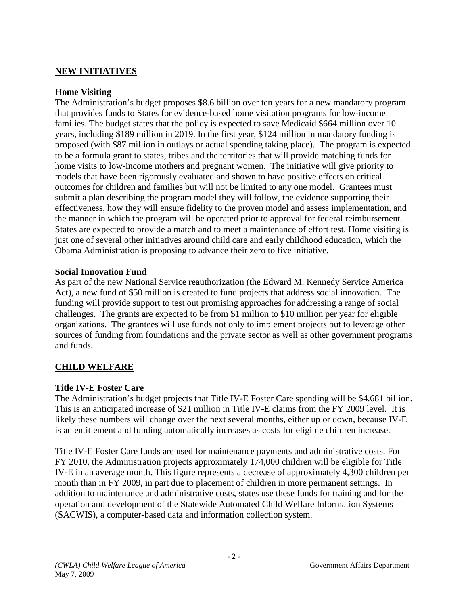### **NEW INITIATIVES**

#### **Home Visiting**

The Administration's budget proposes \$8.6 billion over ten years for a new mandatory program that provides funds to States for evidence-based home visitation programs for low-income families. The budget states that the policy is expected to save Medicaid \$664 million over 10 years, including \$189 million in 2019. In the first year, \$124 million in mandatory funding is proposed (with \$87 million in outlays or actual spending taking place). The program is expected to be a formula grant to states, tribes and the territories that will provide matching funds for home visits to low-income mothers and pregnant women. The initiative will give priority to models that have been rigorously evaluated and shown to have positive effects on critical outcomes for children and families but will not be limited to any one model. Grantees must submit a plan describing the program model they will follow, the evidence supporting their effectiveness, how they will ensure fidelity to the proven model and assess implementation, and the manner in which the program will be operated prior to approval for federal reimbursement. States are expected to provide a match and to meet a maintenance of effort test. Home visiting is just one of several other initiatives around child care and early childhood education, which the Obama Administration is proposing to advance their zero to five initiative.

#### **Social Innovation Fund**

As part of the new National Service reauthorization (the Edward M. Kennedy Service America Act), a new fund of \$50 million is created to fund projects that address social innovation. The funding will provide support to test out promising approaches for addressing a range of social challenges. The grants are expected to be from \$1 million to \$10 million per year for eligible organizations. The grantees will use funds not only to implement projects but to leverage other sources of funding from foundations and the private sector as well as other government programs and funds.

# **CHILD WELFARE**

### **Title IV-E Foster Care**

The Administration's budget projects that Title IV-E Foster Care spending will be \$4.681 billion. This is an anticipated increase of \$21 million in Title IV-E claims from the FY 2009 level. It is likely these numbers will change over the next several months, either up or down, because IV-E is an entitlement and funding automatically increases as costs for eligible children increase.

Title IV-E Foster Care funds are used for maintenance payments and administrative costs. For FY 2010, the Administration projects approximately 174,000 children will be eligible for Title IV-E in an average month. This figure represents a decrease of approximately 4,300 children per month than in FY 2009, in part due to placement of children in more permanent settings. In addition to maintenance and administrative costs, states use these funds for training and for the operation and development of the Statewide Automated Child Welfare Information Systems (SACWIS), a computer-based data and information collection system.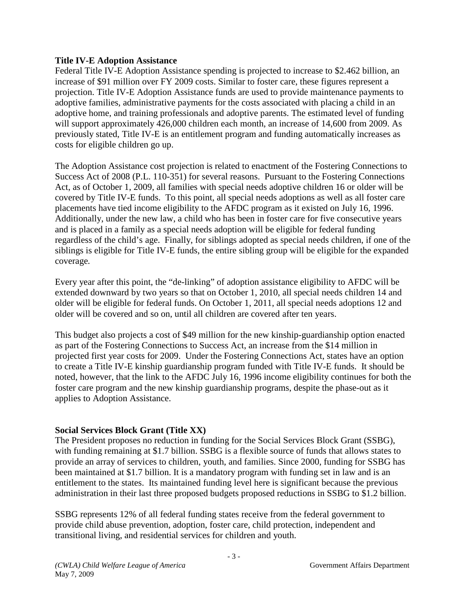#### **Title IV-E Adoption Assistance**

Federal Title IV-E Adoption Assistance spending is projected to increase to \$2.462 billion, an increase of \$91 million over FY 2009 costs. Similar to foster care, these figures represent a projection. Title IV-E Adoption Assistance funds are used to provide maintenance payments to adoptive families, administrative payments for the costs associated with placing a child in an adoptive home, and training professionals and adoptive parents. The estimated level of funding will support approximately 426,000 children each month, an increase of 14,600 from 2009. As previously stated, Title IV-E is an entitlement program and funding automatically increases as costs for eligible children go up.

The Adoption Assistance cost projection is related to enactment of the Fostering Connections to Success Act of 2008 (P.L. 110-351) for several reasons. Pursuant to the Fostering Connections Act, as of October 1, 2009, all families with special needs adoptive children 16 or older will be covered by Title IV-E funds. To this point, all special needs adoptions as well as all foster care placements have tied income eligibility to the AFDC program as it existed on July 16, 1996. Additionally, under the new law, a child who has been in foster care for five consecutive years and is placed in a family as a special needs adoption will be eligible for federal funding regardless of the child's age. Finally, for siblings adopted as special needs children, if one of the siblings is eligible for Title IV-E funds, the entire sibling group will be eligible for the expanded coverage*.* 

Every year after this point, the "de-linking" of adoption assistance eligibility to AFDC will be extended downward by two years so that on October 1, 2010, all special needs children 14 and older will be eligible for federal funds. On October 1, 2011, all special needs adoptions 12 and older will be covered and so on, until all children are covered after ten years.

This budget also projects a cost of \$49 million for the new kinship-guardianship option enacted as part of the Fostering Connections to Success Act, an increase from the \$14 million in projected first year costs for 2009. Under the Fostering Connections Act, states have an option to create a Title IV-E kinship guardianship program funded with Title IV-E funds. It should be noted, however, that the link to the AFDC July 16, 1996 income eligibility continues for both the foster care program and the new kinship guardianship programs, despite the phase-out as it applies to Adoption Assistance.

### **Social Services Block Grant (Title XX)**

The President proposes no reduction in funding for the Social Services Block Grant (SSBG), with funding remaining at \$1.7 billion. SSBG is a flexible source of funds that allows states to provide an array of services to children, youth, and families. Since 2000, funding for SSBG has been maintained at \$1.7 billion. It is a mandatory program with funding set in law and is an entitlement to the states. Its maintained funding level here is significant because the previous administration in their last three proposed budgets proposed reductions in SSBG to \$1.2 billion.

SSBG represents 12% of all federal funding states receive from the federal government to provide child abuse prevention, adoption, foster care, child protection, independent and transitional living, and residential services for children and youth.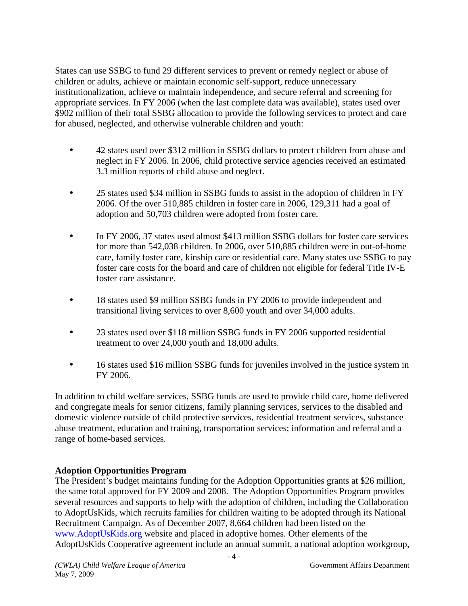States can use SSBG to fund 29 different services to prevent or remedy neglect or abuse of children or adults, achieve or maintain economic self-support, reduce unnecessary institutionalization, achieve or maintain independence, and secure referral and screening for appropriate services. In FY 2006 (when the last complete data was available), states used over \$902 million of their total SSBG allocation to provide the following services to protect and care for abused, neglected, and otherwise vulnerable children and youth:

- 42 states used over \$312 million in SSBG dollars to protect children from abuse and neglect in FY 2006. In 2006, child protective service agencies received an estimated 3.3 million reports of child abuse and neglect.
- 25 states used \$34 million in SSBG funds to assist in the adoption of children in FY 2006. Of the over 510,885 children in foster care in 2006*,* 129,311 had a goal of adoption and 50,703 children were adopted from foster care.
- In FY 2006, 37 states used almost \$413 million SSBG dollars for foster care services for more than 542,038 children. In 2006, over 510,885 children were in out-of-home care, family foster care, kinship care or residential care. Many states use SSBG to pay foster care costs for the board and care of children not eligible for federal Title IV-E foster care assistance.
- 18 states used \$9 million SSBG funds in FY 2006 to provide independent and transitional living services to over 8,600 youth and over 34,000 adults.
- 23 states used over \$118 million SSBG funds in FY 2006 supported residential treatment to over 24,000 youth and 18,000 adults.
- 16 states used \$16 million SSBG funds for juveniles involved in the justice system in FY 2006.

In addition to child welfare services, SSBG funds are used to provide child care, home delivered and congregate meals for senior citizens, family planning services, services to the disabled and domestic violence outside of child protective services, residential treatment services, substance abuse treatment, education and training, transportation services; information and referral and a range of home-based services.

# **Adoption Opportunities Program**

The President's budget maintains funding for the Adoption Opportunities grants at \$26 million, the same total approved for FY 2009 and 2008. The Adoption Opportunities Program provides several resources and supports to help with the adoption of children, including the Collaboration to AdoptUsKids, which recruits families for children waiting to be adopted through its National Recruitment Campaign. As of December 2007, 8,664 children had been listed on the www.AdoptUsKids.org website and placed in adoptive homes. Other elements of the AdoptUsKids Cooperative agreement include an annual summit, a national adoption workgroup,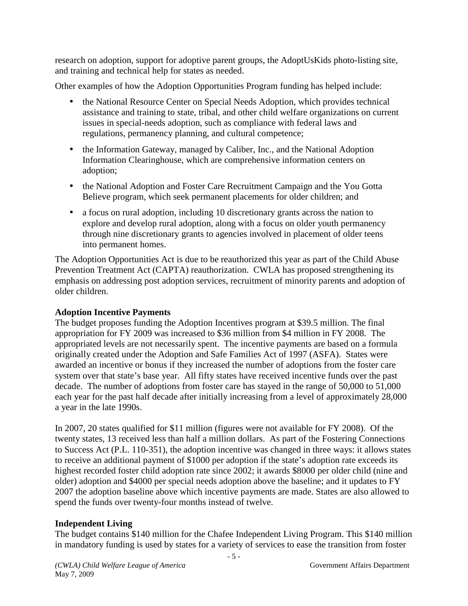research on adoption, support for adoptive parent groups, the AdoptUsKids photo-listing site, and training and technical help for states as needed.

Other examples of how the Adoption Opportunities Program funding has helped include:

- the National Resource Center on Special Needs Adoption, which provides technical assistance and training to state, tribal, and other child welfare organizations on current issues in special-needs adoption, such as compliance with federal laws and regulations, permanency planning, and cultural competence;
- the Information Gateway, managed by Caliber, Inc., and the National Adoption Information Clearinghouse, which are comprehensive information centers on adoption;
- the National Adoption and Foster Care Recruitment Campaign and the You Gotta Believe program, which seek permanent placements for older children; and
- a focus on rural adoption, including 10 discretionary grants across the nation to explore and develop rural adoption, along with a focus on older youth permanency through nine discretionary grants to agencies involved in placement of older teens into permanent homes.

The Adoption Opportunities Act is due to be reauthorized this year as part of the Child Abuse Prevention Treatment Act (CAPTA) reauthorization. CWLA has proposed strengthening its emphasis on addressing post adoption services, recruitment of minority parents and adoption of older children.

# **Adoption Incentive Payments**

The budget proposes funding the Adoption Incentives program at \$39.5 million. The final appropriation for FY 2009 was increased to \$36 million from \$4 million in FY 2008. The appropriated levels are not necessarily spent. The incentive payments are based on a formula originally created under the Adoption and Safe Families Act of 1997 (ASFA). States were awarded an incentive or bonus if they increased the number of adoptions from the foster care system over that state's base year. All fifty states have received incentive funds over the past decade. The number of adoptions from foster care has stayed in the range of 50,000 to 51,000 each year for the past half decade after initially increasing from a level of approximately 28,000 a year in the late 1990s.

In 2007, 20 states qualified for \$11 million (figures were not available for FY 2008). Of the twenty states, 13 received less than half a million dollars. As part of the Fostering Connections to Success Act (P.L. 110-351), the adoption incentive was changed in three ways: it allows states to receive an additional payment of \$1000 per adoption if the state's adoption rate exceeds its highest recorded foster child adoption rate since 2002; it awards \$8000 per older child (nine and older) adoption and \$4000 per special needs adoption above the baseline; and it updates to FY 2007 the adoption baseline above which incentive payments are made. States are also allowed to spend the funds over twenty-four months instead of twelve.

# **Independent Living**

The budget contains \$140 million for the Chafee Independent Living Program. This \$140 million in mandatory funding is used by states for a variety of services to ease the transition from foster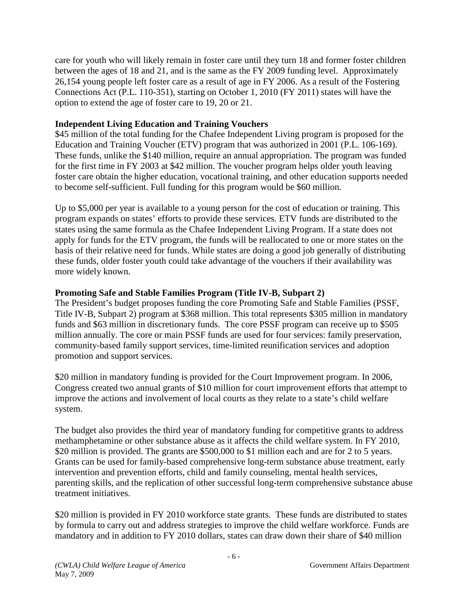care for youth who will likely remain in foster care until they turn 18 and former foster children between the ages of 18 and 21, and is the same as the FY 2009 funding level. Approximately 26,154 young people left foster care as a result of age in FY 2006. As a result of the Fostering Connections Act (P.L. 110-351), starting on October 1, 2010 (FY 2011) states will have the option to extend the age of foster care to 19, 20 or 21.

### **Independent Living Education and Training Vouchers**

\$45 million of the total funding for the Chafee Independent Living program is proposed for the Education and Training Voucher (ETV) program that was authorized in 2001 (P.L. 106-169). These funds, unlike the \$140 million, require an annual appropriation. The program was funded for the first time in FY 2003 at \$42 million. The voucher program helps older youth leaving foster care obtain the higher education, vocational training, and other education supports needed to become self-sufficient. Full funding for this program would be \$60 million.

Up to \$5,000 per year is available to a young person for the cost of education or training. This program expands on states' efforts to provide these services. ETV funds are distributed to the states using the same formula as the Chafee Independent Living Program. If a state does not apply for funds for the ETV program, the funds will be reallocated to one or more states on the basis of their relative need for funds. While states are doing a good job generally of distributing these funds, older foster youth could take advantage of the vouchers if their availability was more widely known.

### **Promoting Safe and Stable Families Program (Title IV-B, Subpart 2)**

The President's budget proposes funding the core Promoting Safe and Stable Families (PSSF, Title IV-B, Subpart 2) program at \$368 million. This total represents \$305 million in mandatory funds and \$63 million in discretionary funds. The core PSSF program can receive up to \$505 million annually. The core or main PSSF funds are used for four services: family preservation, community-based family support services, time-limited reunification services and adoption promotion and support services.

\$20 million in mandatory funding is provided for the Court Improvement program. In 2006, Congress created two annual grants of \$10 million for court improvement efforts that attempt to improve the actions and involvement of local courts as they relate to a state's child welfare system.

The budget also provides the third year of mandatory funding for competitive grants to address methamphetamine or other substance abuse as it affects the child welfare system. In FY 2010, \$20 million is provided. The grants are \$500,000 to \$1 million each and are for 2 to 5 years. Grants can be used for family-based comprehensive long-term substance abuse treatment, early intervention and prevention efforts, child and family counseling, mental health services, parenting skills, and the replication of other successful long-term comprehensive substance abuse treatment initiatives.

\$20 million is provided in FY 2010 workforce state grants. These funds are distributed to states by formula to carry out and address strategies to improve the child welfare workforce. Funds are mandatory and in addition to FY 2010 dollars, states can draw down their share of \$40 million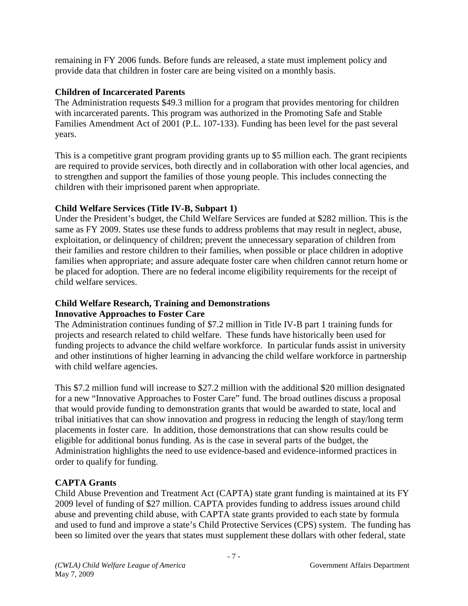remaining in FY 2006 funds. Before funds are released, a state must implement policy and provide data that children in foster care are being visited on a monthly basis.

# **Children of Incarcerated Parents**

The Administration requests \$49.3 million for a program that provides mentoring for children with incarcerated parents. This program was authorized in the Promoting Safe and Stable Families Amendment Act of 2001 (P.L. 107-133). Funding has been level for the past several years.

This is a competitive grant program providing grants up to \$5 million each. The grant recipients are required to provide services, both directly and in collaboration with other local agencies, and to strengthen and support the families of those young people. This includes connecting the children with their imprisoned parent when appropriate.

# **Child Welfare Services (Title IV-B, Subpart 1)**

Under the President's budget, the Child Welfare Services are funded at \$282 million. This is the same as FY 2009. States use these funds to address problems that may result in neglect, abuse, exploitation, or delinquency of children; prevent the unnecessary separation of children from their families and restore children to their families, when possible or place children in adoptive families when appropriate; and assure adequate foster care when children cannot return home or be placed for adoption. There are no federal income eligibility requirements for the receipt of child welfare services.

### **Child Welfare Research, Training and Demonstrations Innovative Approaches to Foster Care**

The Administration continues funding of \$7.2 million in Title IV-B part 1 training funds for projects and research related to child welfare. These funds have historically been used for funding projects to advance the child welfare workforce. In particular funds assist in university and other institutions of higher learning in advancing the child welfare workforce in partnership with child welfare agencies.

This \$7.2 million fund will increase to \$27.2 million with the additional \$20 million designated for a new "Innovative Approaches to Foster Care" fund. The broad outlines discuss a proposal that would provide funding to demonstration grants that would be awarded to state, local and tribal initiatives that can show innovation and progress in reducing the length of stay/long term placements in foster care. In addition, those demonstrations that can show results could be eligible for additional bonus funding. As is the case in several parts of the budget, the Administration highlights the need to use evidence-based and evidence-informed practices in order to qualify for funding.

# **CAPTA Grants**

Child Abuse Prevention and Treatment Act (CAPTA) state grant funding is maintained at its FY 2009 level of funding of \$27 million. CAPTA provides funding to address issues around child abuse and preventing child abuse, with CAPTA state grants provided to each state by formula and used to fund and improve a state's Child Protective Services (CPS) system. The funding has been so limited over the years that states must supplement these dollars with other federal, state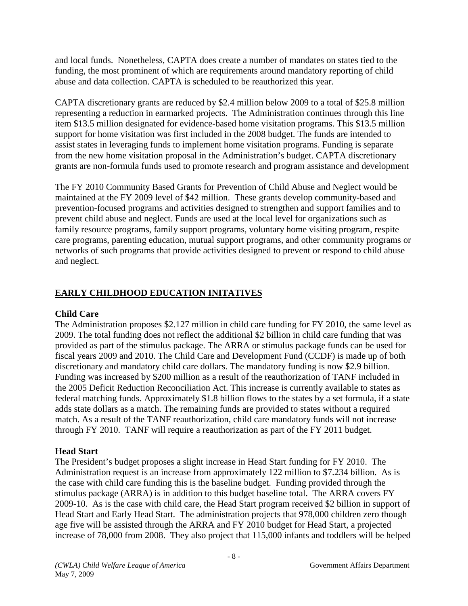and local funds. Nonetheless, CAPTA does create a number of mandates on states tied to the funding, the most prominent of which are requirements around mandatory reporting of child abuse and data collection. CAPTA is scheduled to be reauthorized this year.

CAPTA discretionary grants are reduced by \$2.4 million below 2009 to a total of \$25.8 million representing a reduction in earmarked projects. The Administration continues through this line item \$13.5 million designated for evidence-based home visitation programs. This \$13.5 million support for home visitation was first included in the 2008 budget. The funds are intended to assist states in leveraging funds to implement home visitation programs. Funding is separate from the new home visitation proposal in the Administration's budget. CAPTA discretionary grants are non-formula funds used to promote research and program assistance and development

The FY 2010 Community Based Grants for Prevention of Child Abuse and Neglect would be maintained at the FY 2009 level of \$42 million. These grants develop community-based and prevention-focused programs and activities designed to strengthen and support families and to prevent child abuse and neglect. Funds are used at the local level for organizations such as family resource programs, family support programs, voluntary home visiting program, respite care programs, parenting education, mutual support programs, and other community programs or networks of such programs that provide activities designed to prevent or respond to child abuse and neglect.

# **EARLY CHILDHOOD EDUCATION INITATIVES**

# **Child Care**

The Administration proposes \$2.127 million in child care funding for FY 2010, the same level as 2009. The total funding does not reflect the additional \$2 billion in child care funding that was provided as part of the stimulus package. The ARRA or stimulus package funds can be used for fiscal years 2009 and 2010. The Child Care and Development Fund (CCDF) is made up of both discretionary and mandatory child care dollars. The mandatory funding is now \$2.9 billion. Funding was increased by \$200 million as a result of the reauthorization of TANF included in the 2005 Deficit Reduction Reconciliation Act. This increase is currently available to states as federal matching funds. Approximately \$1.8 billion flows to the states by a set formula, if a state adds state dollars as a match. The remaining funds are provided to states without a required match. As a result of the TANF reauthorization, child care mandatory funds will not increase through FY 2010. TANF will require a reauthorization as part of the FY 2011 budget.

# **Head Start**

The President's budget proposes a slight increase in Head Start funding for FY 2010. The Administration request is an increase from approximately 122 million to \$7.234 billion. As is the case with child care funding this is the baseline budget. Funding provided through the stimulus package (ARRA) is in addition to this budget baseline total. The ARRA covers FY 2009-10. As is the case with child care, the Head Start program received \$2 billion in support of Head Start and Early Head Start. The administration projects that 978,000 children zero though age five will be assisted through the ARRA and FY 2010 budget for Head Start, a projected increase of 78,000 from 2008. They also project that 115,000 infants and toddlers will be helped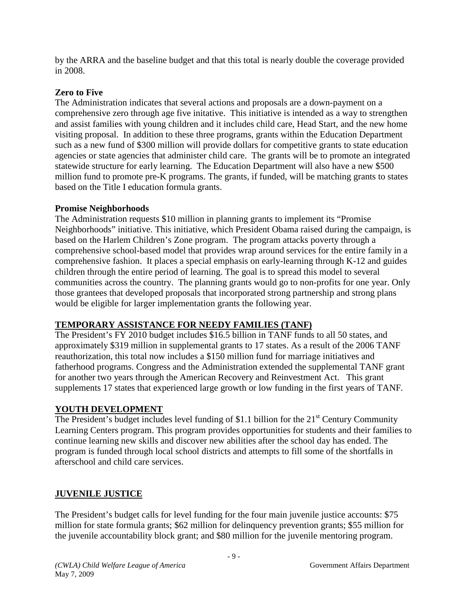by the ARRA and the baseline budget and that this total is nearly double the coverage provided in 2008.

### **Zero to Five**

The Administration indicates that several actions and proposals are a down-payment on a comprehensive zero through age five initative. This initiative is intended as a way to strengthen and assist families with young children and it includes child care, Head Start, and the new home visiting proposal. In addition to these three programs, grants within the Education Department such as a new fund of \$300 million will provide dollars for competitive grants to state education agencies or state agencies that administer child care. The grants will be to promote an integrated statewide structure for early learning. The Education Department will also have a new \$500 million fund to promote pre-K programs. The grants, if funded, will be matching grants to states based on the Title I education formula grants.

### **Promise Neighborhoods**

The Administration requests \$10 million in planning grants to implement its "Promise Neighborhoods" initiative. This initiative, which President Obama raised during the campaign, is based on the Harlem Children's Zone program. The program attacks poverty through a comprehensive school-based model that provides wrap around services for the entire family in a comprehensive fashion. It places a special emphasis on early-learning through K-12 and guides children through the entire period of learning. The goal is to spread this model to several communities across the country. The planning grants would go to non-profits for one year. Only those grantees that developed proposals that incorporated strong partnership and strong plans would be eligible for larger implementation grants the following year.

# **TEMPORARY ASSISTANCE FOR NEEDY FAMILIES (TANF)**

The President's FY 2010 budget includes \$16.5 billion in TANF funds to all 50 states, and approximately \$319 million in supplemental grants to 17 states. As a result of the 2006 TANF reauthorization, this total now includes a \$150 million fund for marriage initiatives and fatherhood programs. Congress and the Administration extended the supplemental TANF grant for another two years through the American Recovery and Reinvestment Act. This grant supplements 17 states that experienced large growth or low funding in the first years of TANF*.* 

# **YOUTH DEVELOPMENT**

The President's budget includes level funding of \$1.1 billion for the  $21<sup>st</sup>$  Century Community Learning Centers program. This program provides opportunities for students and their families to continue learning new skills and discover new abilities after the school day has ended. The program is funded through local school districts and attempts to fill some of the shortfalls in afterschool and child care services.

# **JUVENILE JUSTICE**

The President's budget calls for level funding for the four main juvenile justice accounts: \$75 million for state formula grants; \$62 million for delinquency prevention grants; \$55 million for the juvenile accountability block grant; and \$80 million for the juvenile mentoring program.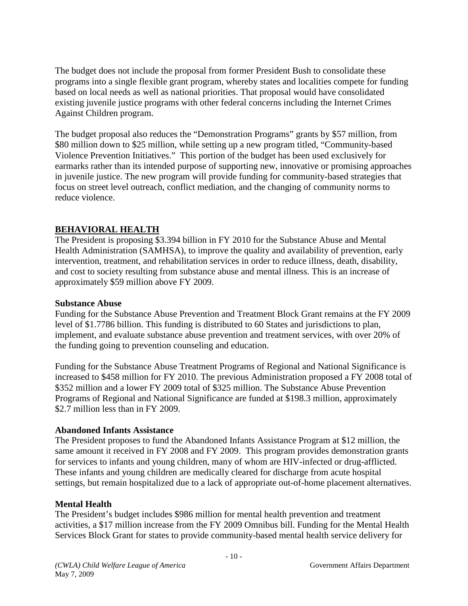The budget does not include the proposal from former President Bush to consolidate these programs into a single flexible grant program, whereby states and localities compete for funding based on local needs as well as national priorities. That proposal would have consolidated existing juvenile justice programs with other federal concerns including the Internet Crimes Against Children program.

The budget proposal also reduces the "Demonstration Programs" grants by \$57 million, from \$80 million down to \$25 million, while setting up a new program titled, "Community-based Violence Prevention Initiatives." This portion of the budget has been used exclusively for earmarks rather than its intended purpose of supporting new, innovative or promising approaches in juvenile justice. The new program will provide funding for community-based strategies that focus on street level outreach, conflict mediation, and the changing of community norms to reduce violence.

### **BEHAVIORAL HEALTH**

The President is proposing \$3.394 billion in FY 2010 for the Substance Abuse and Mental Health Administration (SAMHSA), to improve the quality and availability of prevention, early intervention, treatment, and rehabilitation services in order to reduce illness, death, disability, and cost to society resulting from substance abuse and mental illness. This is an increase of approximately \$59 million above FY 2009.

#### **Substance Abuse**

Funding for the Substance Abuse Prevention and Treatment Block Grant remains at the FY 2009 level of \$1.7786 billion. This funding is distributed to 60 States and jurisdictions to plan, implement, and evaluate substance abuse prevention and treatment services, with over 20% of the funding going to prevention counseling and education.

Funding for the Substance Abuse Treatment Programs of Regional and National Significance is increased to \$458 million for FY 2010. The previous Administration proposed a FY 2008 total of \$352 million and a lower FY 2009 total of \$325 million. The Substance Abuse Prevention Programs of Regional and National Significance are funded at \$198.3 million, approximately \$2.7 million less than in FY 2009.

#### **Abandoned Infants Assistance**

The President proposes to fund the Abandoned Infants Assistance Program at \$12 million, the same amount it received in FY 2008 and FY 2009. This program provides demonstration grants for services to infants and young children, many of whom are HIV-infected or drug-afflicted. These infants and young children are medically cleared for discharge from acute hospital settings, but remain hospitalized due to a lack of appropriate out-of-home placement alternatives.

#### **Mental Health**

The President's budget includes \$986 million for mental health prevention and treatment activities, a \$17 million increase from the FY 2009 Omnibus bill. Funding for the Mental Health Services Block Grant for states to provide community-based mental health service delivery for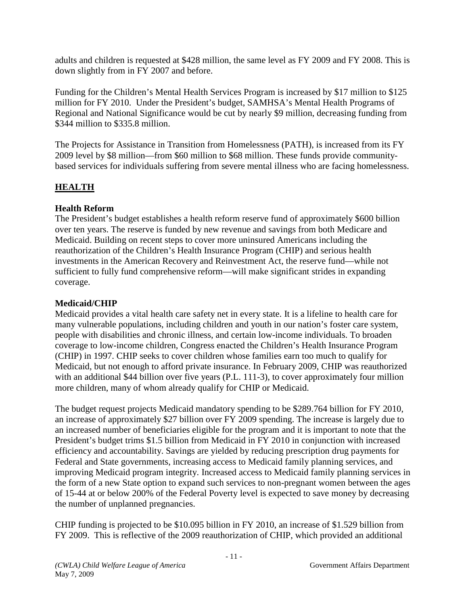adults and children is requested at \$428 million, the same level as FY 2009 and FY 2008. This is down slightly from in FY 2007 and before.

Funding for the Children's Mental Health Services Program is increased by \$17 million to \$125 million for FY 2010. Under the President's budget, SAMHSA's Mental Health Programs of Regional and National Significance would be cut by nearly \$9 million, decreasing funding from \$344 million to \$335.8 million.

The Projects for Assistance in Transition from Homelessness (PATH), is increased from its FY 2009 level by \$8 million—from \$60 million to \$68 million. These funds provide communitybased services for individuals suffering from severe mental illness who are facing homelessness.

# **HEALTH**

# **Health Reform**

The President's budget establishes a health reform reserve fund of approximately \$600 billion over ten years. The reserve is funded by new revenue and savings from both Medicare and Medicaid. Building on recent steps to cover more uninsured Americans including the reauthorization of the Children's Health Insurance Program (CHIP) and serious health investments in the American Recovery and Reinvestment Act, the reserve fund—while not sufficient to fully fund comprehensive reform—will make significant strides in expanding coverage.

## **Medicaid/CHIP**

Medicaid provides a vital health care safety net in every state. It is a lifeline to health care for many vulnerable populations, including children and youth in our nation's foster care system, people with disabilities and chronic illness, and certain low-income individuals. To broaden coverage to low-income children, Congress enacted the Children's Health Insurance Program (CHIP) in 1997. CHIP seeks to cover children whose families earn too much to qualify for Medicaid, but not enough to afford private insurance. In February 2009, CHIP was reauthorized with an additional \$44 billion over five years (P.L. 111-3), to cover approximately four million more children, many of whom already qualify for CHIP or Medicaid.

The budget request projects Medicaid mandatory spending to be \$289.764 billion for FY 2010, an increase of approximately \$27 billion over FY 2009 spending. The increase is largely due to an increased number of beneficiaries eligible for the program and it is important to note that the President's budget trims \$1.5 billion from Medicaid in FY 2010 in conjunction with increased efficiency and accountability. Savings are yielded by reducing prescription drug payments for Federal and State governments, increasing access to Medicaid family planning services, and improving Medicaid program integrity. Increased access to Medicaid family planning services in the form of a new State option to expand such services to non-pregnant women between the ages of 15-44 at or below 200% of the Federal Poverty level is expected to save money by decreasing the number of unplanned pregnancies.

CHIP funding is projected to be \$10.095 billion in FY 2010, an increase of \$1.529 billion from FY 2009. This is reflective of the 2009 reauthorization of CHIP, which provided an additional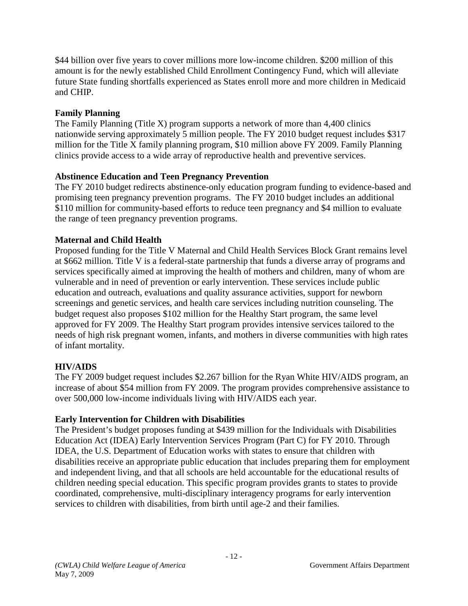\$44 billion over five years to cover millions more low-income children. \$200 million of this amount is for the newly established Child Enrollment Contingency Fund, which will alleviate future State funding shortfalls experienced as States enroll more and more children in Medicaid and CHIP.

# **Family Planning**

The Family Planning (Title X) program supports a network of more than  $4,400$  clinics nationwide serving approximately 5 million people. The FY 2010 budget request includes \$317 million for the Title X family planning program, \$10 million above FY 2009. Family Planning clinics provide access to a wide array of reproductive health and preventive services.

# **Abstinence Education and Teen Pregnancy Prevention**

The FY 2010 budget redirects abstinence-only education program funding to evidence-based and promising teen pregnancy prevention programs. The FY 2010 budget includes an additional \$110 million for community-based efforts to reduce teen pregnancy and \$4 million to evaluate the range of teen pregnancy prevention programs.

# **Maternal and Child Health**

Proposed funding for the Title V Maternal and Child Health Services Block Grant remains level at \$662 million. Title V is a federal-state partnership that funds a diverse array of programs and services specifically aimed at improving the health of mothers and children, many of whom are vulnerable and in need of prevention or early intervention. These services include public education and outreach, evaluations and quality assurance activities, support for newborn screenings and genetic services, and health care services including nutrition counseling. The budget request also proposes \$102 million for the Healthy Start program, the same level approved for FY 2009. The Healthy Start program provides intensive services tailored to the needs of high risk pregnant women, infants, and mothers in diverse communities with high rates of infant mortality.

# **HIV/AIDS**

The FY 2009 budget request includes \$2.267 billion for the Ryan White HIV/AIDS program, an increase of about \$54 million from FY 2009. The program provides comprehensive assistance to over 500,000 low-income individuals living with HIV/AIDS each year.

# **Early Intervention for Children with Disabilities**

The President's budget proposes funding at \$439 million for the Individuals with Disabilities Education Act (IDEA) Early Intervention Services Program (Part C) for FY 2010. Through IDEA, the U.S. Department of Education works with states to ensure that children with disabilities receive an appropriate public education that includes preparing them for employment and independent living, and that all schools are held accountable for the educational results of children needing special education. This specific program provides grants to states to provide coordinated, comprehensive, multi-disciplinary interagency programs for early intervention services to children with disabilities, from birth until age-2 and their families.